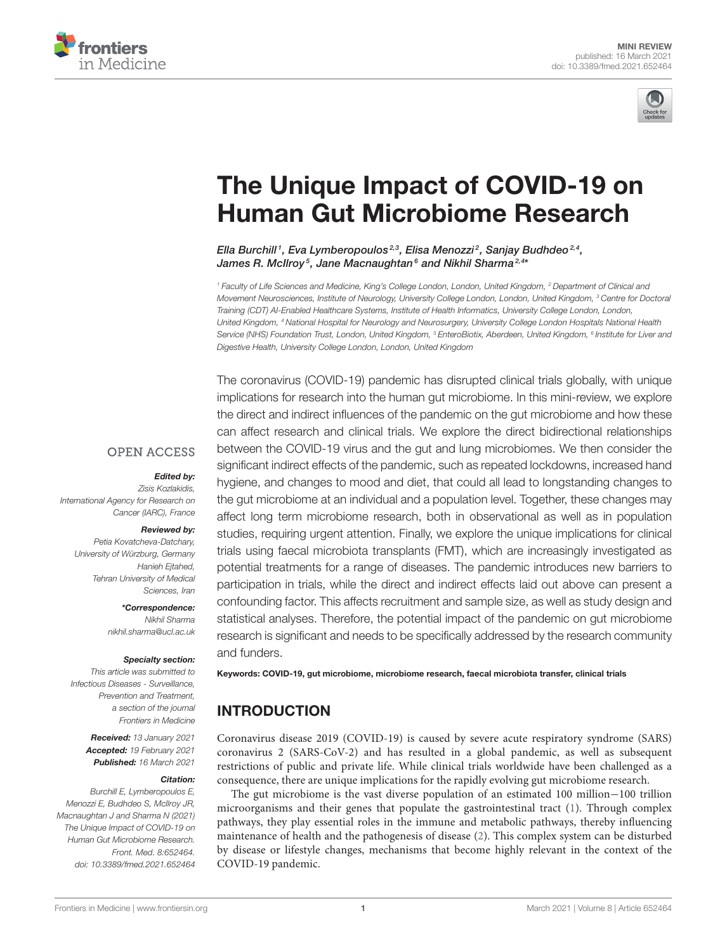



# [The Unique Impact of COVID-19 on](https://www.frontiersin.org/articles/10.3389/fmed.2021.652464/full) Human Gut Microbiome Research

Ella Burchill1, Eva Lymberopoulos2,3, Elisa Menozzi2, Sanjay Budhdeo2,4, James R. McIlroy<sup>5</sup>, Jane Macnaughtan<sup>6</sup> and Nikhil Sharma<sup>2,4\*</sup>

<sup>1</sup> Faculty of Life Sciences and Medicine, King's College London, London, United Kingdom, <sup>2</sup> Department of Clinical and Movement Neurosciences, Institute of Neurology, University College London, London, United Kingdom, <sup>3</sup> Centre for Doctoral Training (CDT) AI-Enabled Healthcare Systems, Institute of Health Informatics, University College London, London, United Kingdom, <sup>4</sup> National Hospital for Neurology and Neurosurgery, University College London Hospitals National Health Service (NHS) Foundation Trust, London, United Kingdom, <sup>5</sup> EnteroBiotix, Aberdeen, United Kingdom, <sup>6</sup> Institute for Liver and Digestive Health, University College London, London, United Kingdom

The coronavirus (COVID-19) pandemic has disrupted clinical trials globally, with unique implications for research into the human gut microbiome. In this mini-review, we explore the direct and indirect influences of the pandemic on the gut microbiome and how these can affect research and clinical trials. We explore the direct bidirectional relationships between the COVID-19 virus and the gut and lung microbiomes. We then consider the significant indirect effects of the pandemic, such as repeated lockdowns, increased hand hygiene, and changes to mood and diet, that could all lead to longstanding changes to the gut microbiome at an individual and a population level. Together, these changes may affect long term microbiome research, both in observational as well as in population studies, requiring urgent attention. Finally, we explore the unique implications for clinical trials using faecal microbiota transplants (FMT), which are increasingly investigated as potential treatments for a range of diseases. The pandemic introduces new barriers to participation in trials, while the direct and indirect effects laid out above can present a confounding factor. This affects recruitment and sample size, as well as study design and statistical analyses. Therefore, the potential impact of the pandemic on gut microbiome research is significant and needs to be specifically addressed by the research community and funders.

### **OPEN ACCESS**

#### Edited by:

Zisis Kozlakidis, International Agency for Research on Cancer (IARC), France

#### Reviewed by:

Petia Kovatcheva-Datchary, University of Würzburg, Germany Hanieh Ejtahed, Tehran University of Medical Sciences, Iran

> \*Correspondence: Nikhil Sharma

[nikhil.sharma@ucl.ac.uk](mailto:nikhil.sharma@ucl.ac.uk)

#### Specialty section:

This article was submitted to Infectious Diseases - Surveillance, Prevention and Treatment, a section of the journal Frontiers in Medicine

> Received: 13 January 2021 Accepted: 19 February 2021 Published: 16 March 2021

#### Citation:

Burchill E, Lymberopoulos E, Menozzi E, Budhdeo S, McIlroy JR, Macnaughtan J and Sharma N (2021) The Unique Impact of COVID-19 on Human Gut Microbiome Research. Front. Med. 8:652464. doi: [10.3389/fmed.2021.652464](https://doi.org/10.3389/fmed.2021.652464)

Keywords: COVID-19, gut microbiome, microbiome research, faecal microbiota transfer, clinical trials

# INTRODUCTION

Coronavirus disease 2019 (COVID-19) is caused by severe acute respiratory syndrome (SARS) coronavirus 2 (SARS-CoV-2) and has resulted in a global pandemic, as well as subsequent restrictions of public and private life. While clinical trials worldwide have been challenged as a consequence, there are unique implications for the rapidly evolving gut microbiome research.

The gut microbiome is the vast diverse population of an estimated 100 million−100 trillion microorganisms and their genes that populate the gastrointestinal tract [\(1\)](#page-5-0). Through complex pathways, they play essential roles in the immune and metabolic pathways, thereby influencing maintenance of health and the pathogenesis of disease [\(2\)](#page-5-1). This complex system can be disturbed by disease or lifestyle changes, mechanisms that become highly relevant in the context of the COVID-19 pandemic.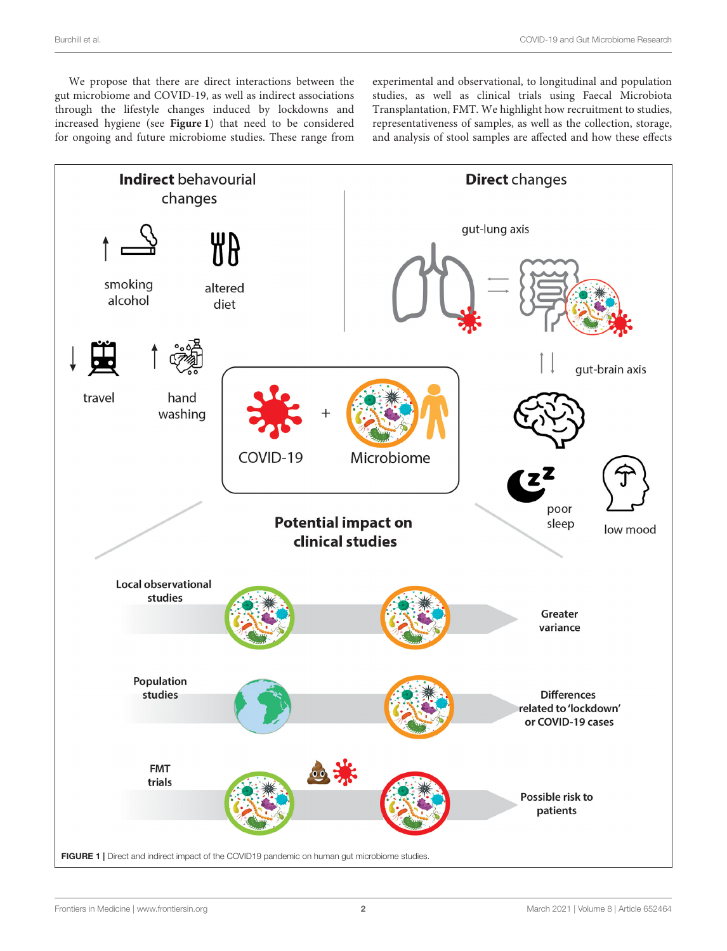We propose that there are direct interactions between the gut microbiome and COVID-19, as well as indirect associations through the lifestyle changes induced by lockdowns and increased hygiene (see **[Figure 1](#page-1-0)**) that need to be considered for ongoing and future microbiome studies. These range from experimental and observational, to longitudinal and population studies, as well as clinical trials using Faecal Microbiota Transplantation, FMT. We highlight how recruitment to studies, representativeness of samples, as well as the collection, storage, and analysis of stool samples are affected and how these effects

<span id="page-1-0"></span>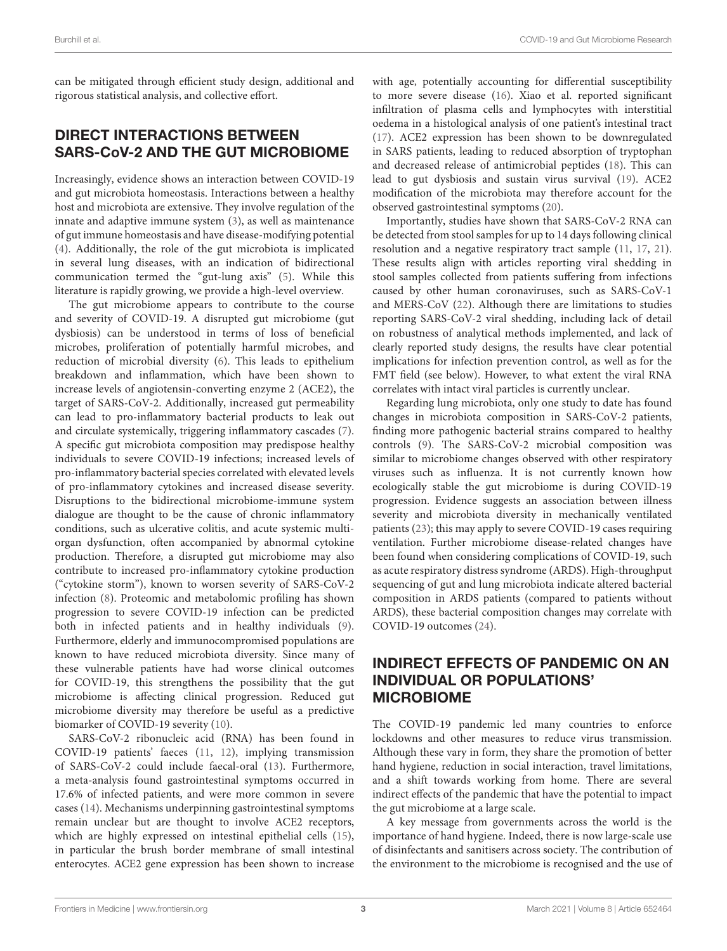can be mitigated through efficient study design, additional and rigorous statistical analysis, and collective effort.

## DIRECT INTERACTIONS BETWEEN SARS-CoV-2 AND THE GUT MICROBIOME

Increasingly, evidence shows an interaction between COVID-19 and gut microbiota homeostasis. Interactions between a healthy host and microbiota are extensive. They involve regulation of the innate and adaptive immune system [\(3\)](#page-5-2), as well as maintenance of gut immune homeostasis and have disease-modifying potential [\(4\)](#page-5-3). Additionally, the role of the gut microbiota is implicated in several lung diseases, with an indication of bidirectional communication termed the "gut-lung axis" [\(5\)](#page-5-4). While this literature is rapidly growing, we provide a high-level overview.

The gut microbiome appears to contribute to the course and severity of COVID-19. A disrupted gut microbiome (gut dysbiosis) can be understood in terms of loss of beneficial microbes, proliferation of potentially harmful microbes, and reduction of microbial diversity [\(6\)](#page-5-5). This leads to epithelium breakdown and inflammation, which have been shown to increase levels of angiotensin-converting enzyme 2 (ACE2), the target of SARS-CoV-2. Additionally, increased gut permeability can lead to pro-inflammatory bacterial products to leak out and circulate systemically, triggering inflammatory cascades [\(7\)](#page-5-6). A specific gut microbiota composition may predispose healthy individuals to severe COVID-19 infections; increased levels of pro-inflammatory bacterial species correlated with elevated levels of pro-inflammatory cytokines and increased disease severity. Disruptions to the bidirectional microbiome-immune system dialogue are thought to be the cause of chronic inflammatory conditions, such as ulcerative colitis, and acute systemic multiorgan dysfunction, often accompanied by abnormal cytokine production. Therefore, a disrupted gut microbiome may also contribute to increased pro-inflammatory cytokine production ("cytokine storm"), known to worsen severity of SARS-CoV-2 infection [\(8\)](#page-5-7). Proteomic and metabolomic profiling has shown progression to severe COVID-19 infection can be predicted both in infected patients and in healthy individuals [\(9\)](#page-5-8). Furthermore, elderly and immunocompromised populations are known to have reduced microbiota diversity. Since many of these vulnerable patients have had worse clinical outcomes for COVID-19, this strengthens the possibility that the gut microbiome is affecting clinical progression. Reduced gut microbiome diversity may therefore be useful as a predictive biomarker of COVID-19 severity [\(10\)](#page-5-9).

SARS-CoV-2 ribonucleic acid (RNA) has been found in COVID-19 patients' faeces [\(11,](#page-6-0) [12\)](#page-6-1), implying transmission of SARS-CoV-2 could include faecal-oral [\(13\)](#page-6-2). Furthermore, a meta-analysis found gastrointestinal symptoms occurred in 17.6% of infected patients, and were more common in severe cases [\(14\)](#page-6-3). Mechanisms underpinning gastrointestinal symptoms remain unclear but are thought to involve ACE2 receptors, which are highly expressed on intestinal epithelial cells [\(15\)](#page-6-4), in particular the brush border membrane of small intestinal enterocytes. ACE2 gene expression has been shown to increase

with age, potentially accounting for differential susceptibility to more severe disease [\(16\)](#page-6-5). Xiao et al. reported significant infiltration of plasma cells and lymphocytes with interstitial oedema in a histological analysis of one patient's intestinal tract [\(17\)](#page-6-6). ACE2 expression has been shown to be downregulated in SARS patients, leading to reduced absorption of tryptophan and decreased release of antimicrobial peptides [\(18\)](#page-6-7). This can lead to gut dysbiosis and sustain virus survival [\(19\)](#page-6-8). ACE2 modification of the microbiota may therefore account for the observed gastrointestinal symptoms [\(20\)](#page-6-9).

Importantly, studies have shown that SARS-CoV-2 RNA can be detected from stool samples for up to 14 days following clinical resolution and a negative respiratory tract sample [\(11,](#page-6-0) [17,](#page-6-6) [21\)](#page-6-10). These results align with articles reporting viral shedding in stool samples collected from patients suffering from infections caused by other human coronaviruses, such as SARS-CoV-1 and MERS-CoV [\(22\)](#page-6-11). Although there are limitations to studies reporting SARS-CoV-2 viral shedding, including lack of detail on robustness of analytical methods implemented, and lack of clearly reported study designs, the results have clear potential implications for infection prevention control, as well as for the FMT field (see below). However, to what extent the viral RNA correlates with intact viral particles is currently unclear.

Regarding lung microbiota, only one study to date has found changes in microbiota composition in SARS-CoV-2 patients, finding more pathogenic bacterial strains compared to healthy controls [\(9\)](#page-5-8). The SARS-CoV-2 microbial composition was similar to microbiome changes observed with other respiratory viruses such as influenza. It is not currently known how ecologically stable the gut microbiome is during COVID-19 progression. Evidence suggests an association between illness severity and microbiota diversity in mechanically ventilated patients [\(23\)](#page-6-12); this may apply to severe COVID-19 cases requiring ventilation. Further microbiome disease-related changes have been found when considering complications of COVID-19, such as acute respiratory distress syndrome (ARDS). High-throughput sequencing of gut and lung microbiota indicate altered bacterial composition in ARDS patients (compared to patients without ARDS), these bacterial composition changes may correlate with COVID-19 outcomes [\(24\)](#page-6-13).

# INDIRECT EFFECTS OF PANDEMIC ON AN INDIVIDUAL OR POPULATIONS' MICROBIOME

The COVID-19 pandemic led many countries to enforce lockdowns and other measures to reduce virus transmission. Although these vary in form, they share the promotion of better hand hygiene, reduction in social interaction, travel limitations, and a shift towards working from home. There are several indirect effects of the pandemic that have the potential to impact the gut microbiome at a large scale.

A key message from governments across the world is the importance of hand hygiene. Indeed, there is now large-scale use of disinfectants and sanitisers across society. The contribution of the environment to the microbiome is recognised and the use of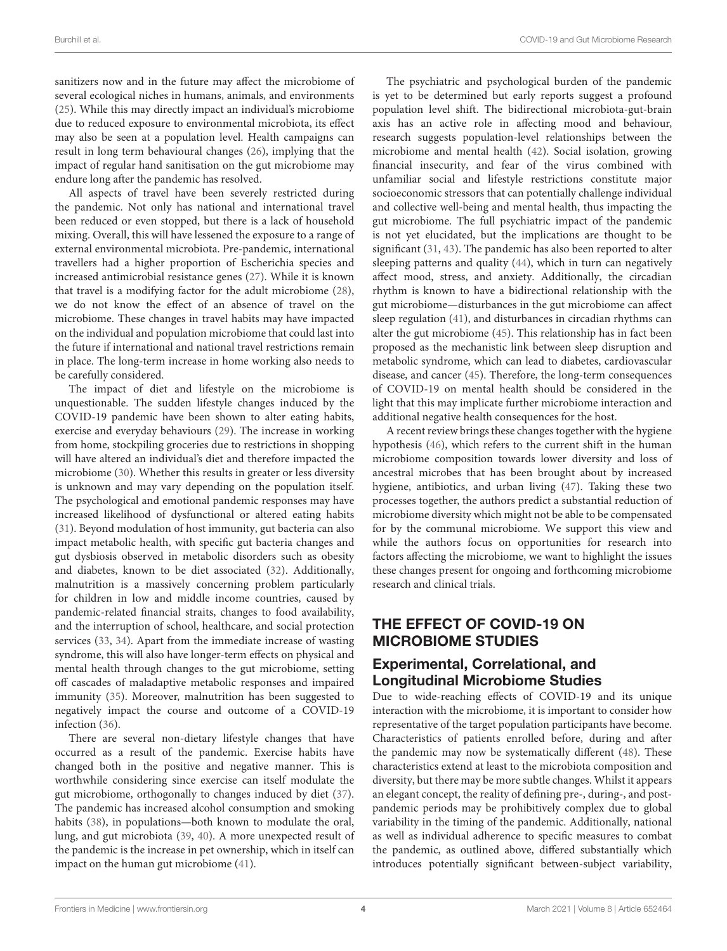sanitizers now and in the future may affect the microbiome of several ecological niches in humans, animals, and environments [\(25\)](#page-6-14). While this may directly impact an individual's microbiome due to reduced exposure to environmental microbiota, its effect may also be seen at a population level. Health campaigns can result in long term behavioural changes [\(26\)](#page-6-15), implying that the impact of regular hand sanitisation on the gut microbiome may endure long after the pandemic has resolved.

All aspects of travel have been severely restricted during the pandemic. Not only has national and international travel been reduced or even stopped, but there is a lack of household mixing. Overall, this will have lessened the exposure to a range of external environmental microbiota. Pre-pandemic, international travellers had a higher proportion of Escherichia species and increased antimicrobial resistance genes [\(27\)](#page-6-16). While it is known that travel is a modifying factor for the adult microbiome [\(28\)](#page-6-17), we do not know the effect of an absence of travel on the microbiome. These changes in travel habits may have impacted on the individual and population microbiome that could last into the future if international and national travel restrictions remain in place. The long-term increase in home working also needs to be carefully considered.

The impact of diet and lifestyle on the microbiome is unquestionable. The sudden lifestyle changes induced by the COVID-19 pandemic have been shown to alter eating habits, exercise and everyday behaviours [\(29\)](#page-6-18). The increase in working from home, stockpiling groceries due to restrictions in shopping will have altered an individual's diet and therefore impacted the microbiome [\(30\)](#page-6-19). Whether this results in greater or less diversity is unknown and may vary depending on the population itself. The psychological and emotional pandemic responses may have increased likelihood of dysfunctional or altered eating habits [\(31\)](#page-6-20). Beyond modulation of host immunity, gut bacteria can also impact metabolic health, with specific gut bacteria changes and gut dysbiosis observed in metabolic disorders such as obesity and diabetes, known to be diet associated [\(32\)](#page-6-21). Additionally, malnutrition is a massively concerning problem particularly for children in low and middle income countries, caused by pandemic-related financial straits, changes to food availability, and the interruption of school, healthcare, and social protection services [\(33,](#page-6-22) [34\)](#page-6-23). Apart from the immediate increase of wasting syndrome, this will also have longer-term effects on physical and mental health through changes to the gut microbiome, setting off cascades of maladaptive metabolic responses and impaired immunity [\(35\)](#page-6-24). Moreover, malnutrition has been suggested to negatively impact the course and outcome of a COVID-19 infection [\(36\)](#page-6-25).

There are several non-dietary lifestyle changes that have occurred as a result of the pandemic. Exercise habits have changed both in the positive and negative manner. This is worthwhile considering since exercise can itself modulate the gut microbiome, orthogonally to changes induced by diet [\(37\)](#page-6-26). The pandemic has increased alcohol consumption and smoking habits [\(38\)](#page-6-27), in populations—both known to modulate the oral, lung, and gut microbiota [\(39,](#page-6-28) [40\)](#page-6-29). A more unexpected result of the pandemic is the increase in pet ownership, which in itself can impact on the human gut microbiome [\(41\)](#page-6-30).

The psychiatric and psychological burden of the pandemic is yet to be determined but early reports suggest a profound population level shift. The bidirectional microbiota-gut-brain axis has an active role in affecting mood and behaviour, research suggests population-level relationships between the microbiome and mental health [\(42\)](#page-6-31). Social isolation, growing financial insecurity, and fear of the virus combined with unfamiliar social and lifestyle restrictions constitute major socioeconomic stressors that can potentially challenge individual and collective well-being and mental health, thus impacting the gut microbiome. The full psychiatric impact of the pandemic is not yet elucidated, but the implications are thought to be significant [\(31,](#page-6-20) [43\)](#page-6-32). The pandemic has also been reported to alter sleeping patterns and quality [\(44\)](#page-6-33), which in turn can negatively affect mood, stress, and anxiety. Additionally, the circadian rhythm is known to have a bidirectional relationship with the gut microbiome—disturbances in the gut microbiome can affect sleep regulation [\(41\)](#page-6-30), and disturbances in circadian rhythms can alter the gut microbiome [\(45\)](#page-6-34). This relationship has in fact been proposed as the mechanistic link between sleep disruption and metabolic syndrome, which can lead to diabetes, cardiovascular disease, and cancer [\(45\)](#page-6-34). Therefore, the long-term consequences of COVID-19 on mental health should be considered in the light that this may implicate further microbiome interaction and additional negative health consequences for the host.

A recent review brings these changes together with the hygiene hypothesis [\(46\)](#page-6-35), which refers to the current shift in the human microbiome composition towards lower diversity and loss of ancestral microbes that has been brought about by increased hygiene, antibiotics, and urban living [\(47\)](#page-6-36). Taking these two processes together, the authors predict a substantial reduction of microbiome diversity which might not be able to be compensated for by the communal microbiome. We support this view and while the authors focus on opportunities for research into factors affecting the microbiome, we want to highlight the issues these changes present for ongoing and forthcoming microbiome research and clinical trials.

# THE EFFECT OF COVID-19 ON MICROBIOME STUDIES

## Experimental, Correlational, and Longitudinal Microbiome Studies

Due to wide-reaching effects of COVID-19 and its unique interaction with the microbiome, it is important to consider how representative of the target population participants have become. Characteristics of patients enrolled before, during and after the pandemic may now be systematically different [\(48\)](#page-6-37). These characteristics extend at least to the microbiota composition and diversity, but there may be more subtle changes. Whilst it appears an elegant concept, the reality of defining pre-, during-, and postpandemic periods may be prohibitively complex due to global variability in the timing of the pandemic. Additionally, national as well as individual adherence to specific measures to combat the pandemic, as outlined above, differed substantially which introduces potentially significant between-subject variability,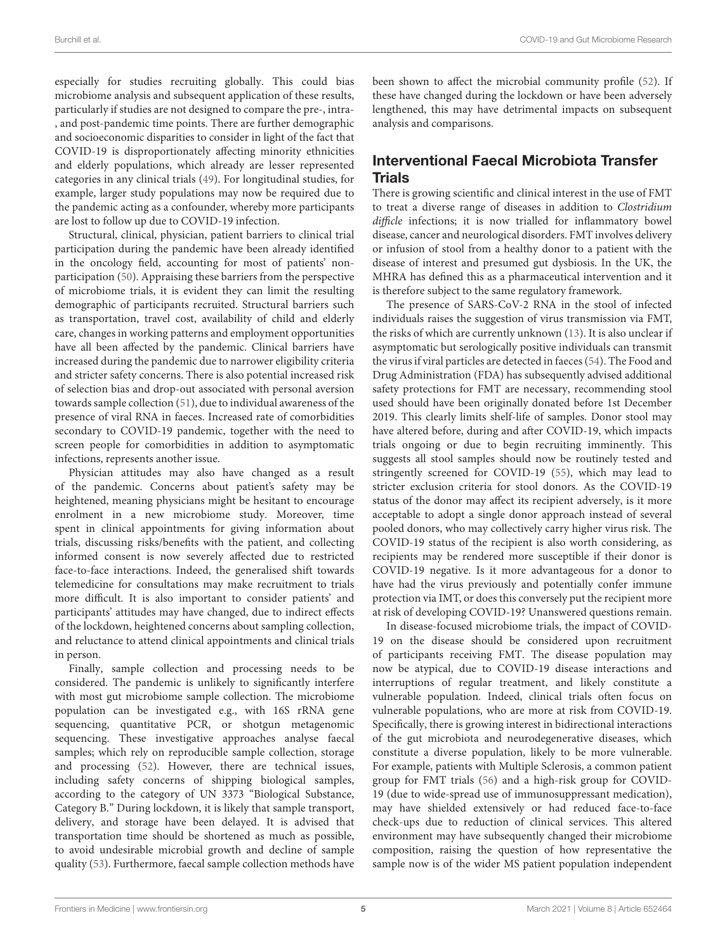especially for studies recruiting globally. This could bias microbiome analysis and subsequent application of these results, particularly if studies are not designed to compare the pre-, intra- , and post-pandemic time points. There are further demographic and socioeconomic disparities to consider in light of the fact that COVID-19 is disproportionately affecting minority ethnicities and elderly populations, which already are lesser represented categories in any clinical trials [\(49\)](#page-6-38). For longitudinal studies, for example, larger study populations may now be required due to the pandemic acting as a confounder, whereby more participants are lost to follow up due to COVID-19 infection.

Structural, clinical, physician, patient barriers to clinical trial participation during the pandemic have been already identified in the oncology field, accounting for most of patients' nonparticipation [\(50\)](#page-6-39). Appraising these barriers from the perspective of microbiome trials, it is evident they can limit the resulting demographic of participants recruited. Structural barriers such as transportation, travel cost, availability of child and elderly care, changes in working patterns and employment opportunities have all been affected by the pandemic. Clinical barriers have increased during the pandemic due to narrower eligibility criteria and stricter safety concerns. There is also potential increased risk of selection bias and drop-out associated with personal aversion towards sample collection [\(51\)](#page-6-40), due to individual awareness of the presence of viral RNA in faeces. Increased rate of comorbidities secondary to COVID-19 pandemic, together with the need to screen people for comorbidities in addition to asymptomatic infections, represents another issue.

Physician attitudes may also have changed as a result of the pandemic. Concerns about patient's safety may be heightened, meaning physicians might be hesitant to encourage enrolment in a new microbiome study. Moreover, time spent in clinical appointments for giving information about trials, discussing risks/benefits with the patient, and collecting informed consent is now severely affected due to restricted face-to-face interactions. Indeed, the generalised shift towards telemedicine for consultations may make recruitment to trials more difficult. It is also important to consider patients' and participants' attitudes may have changed, due to indirect effects of the lockdown, heightened concerns about sampling collection, and reluctance to attend clinical appointments and clinical trials in person.

Finally, sample collection and processing needs to be considered. The pandemic is unlikely to significantly interfere with most gut microbiome sample collection. The microbiome population can be investigated e.g., with 16S rRNA gene sequencing, quantitative PCR, or shotgun metagenomic sequencing. These investigative approaches analyse faecal samples; which rely on reproducible sample collection, storage and processing [\(52\)](#page-6-41). However, there are technical issues, including safety concerns of shipping biological samples, according to the category of UN 3373 "Biological Substance, Category B." During lockdown, it is likely that sample transport, delivery, and storage have been delayed. It is advised that transportation time should be shortened as much as possible, to avoid undesirable microbial growth and decline of sample quality [\(53\)](#page-6-42). Furthermore, faecal sample collection methods have been shown to affect the microbial community profile [\(52\)](#page-6-41). If these have changed during the lockdown or have been adversely lengthened, this may have detrimental impacts on subsequent analysis and comparisons.

# Interventional Faecal Microbiota Transfer **Trials**

There is growing scientific and clinical interest in the use of FMT to treat a diverse range of diseases in addition to Clostridium difficle infections; it is now trialled for inflammatory bowel disease, cancer and neurological disorders. FMT involves delivery or infusion of stool from a healthy donor to a patient with the disease of interest and presumed gut dysbiosis. In the UK, the MHRA has defined this as a pharmaceutical intervention and it is therefore subject to the same regulatory framework.

The presence of SARS-CoV-2 RNA in the stool of infected individuals raises the suggestion of virus transmission via FMT, the risks of which are currently unknown [\(13\)](#page-6-2). It is also unclear if asymptomatic but serologically positive individuals can transmit the virus if viral particles are detected in faeces [\(54\)](#page-7-0). The Food and Drug Administration (FDA) has subsequently advised additional safety protections for FMT are necessary, recommending stool used should have been originally donated before 1st December 2019. This clearly limits shelf-life of samples. Donor stool may have altered before, during and after COVID-19, which impacts trials ongoing or due to begin recruiting imminently. This suggests all stool samples should now be routinely tested and stringently screened for COVID-19 [\(55\)](#page-7-1), which may lead to stricter exclusion criteria for stool donors. As the COVID-19 status of the donor may affect its recipient adversely, is it more acceptable to adopt a single donor approach instead of several pooled donors, who may collectively carry higher virus risk. The COVID-19 status of the recipient is also worth considering, as recipients may be rendered more susceptible if their donor is COVID-19 negative. Is it more advantageous for a donor to have had the virus previously and potentially confer immune protection via IMT, or does this conversely put the recipient more at risk of developing COVID-19? Unanswered questions remain.

In disease-focused microbiome trials, the impact of COVID-19 on the disease should be considered upon recruitment of participants receiving FMT. The disease population may now be atypical, due to COVID-19 disease interactions and interruptions of regular treatment, and likely constitute a vulnerable population. Indeed, clinical trials often focus on vulnerable populations, who are more at risk from COVID-19. Specifically, there is growing interest in bidirectional interactions of the gut microbiota and neurodegenerative diseases, which constitute a diverse population, likely to be more vulnerable. For example, patients with Multiple Sclerosis, a common patient group for FMT trials [\(56\)](#page-7-2) and a high-risk group for COVID-19 (due to wide-spread use of immunosuppressant medication), may have shielded extensively or had reduced face-to-face check-ups due to reduction of clinical services. This altered environment may have subsequently changed their microbiome composition, raising the question of how representative the sample now is of the wider MS patient population independent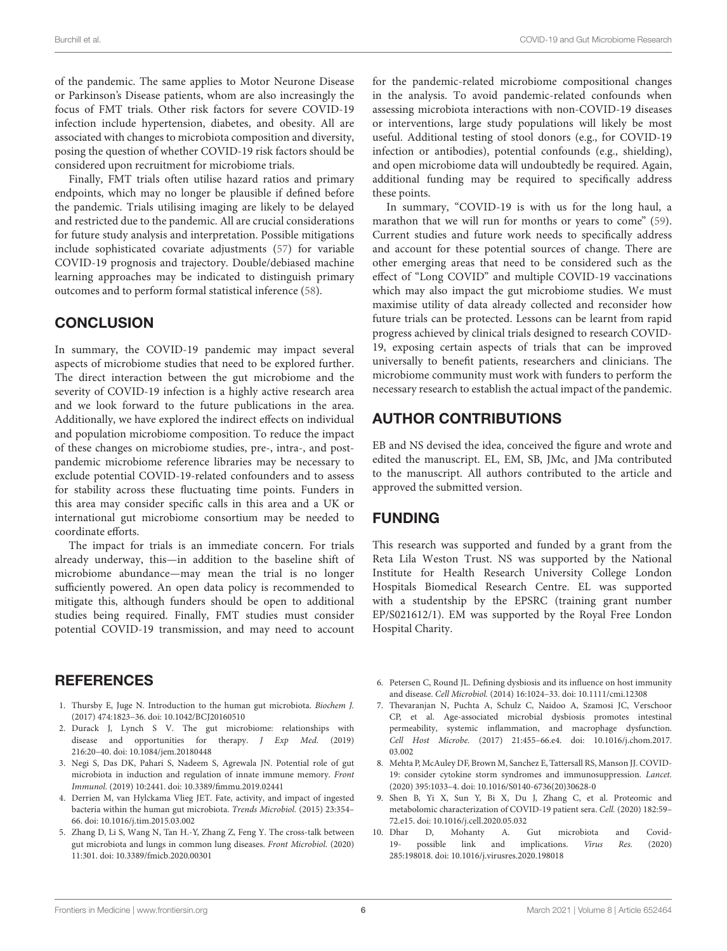of the pandemic. The same applies to Motor Neurone Disease or Parkinson's Disease patients, whom are also increasingly the focus of FMT trials. Other risk factors for severe COVID-19 infection include hypertension, diabetes, and obesity. All are associated with changes to microbiota composition and diversity, posing the question of whether COVID-19 risk factors should be considered upon recruitment for microbiome trials.

Finally, FMT trials often utilise hazard ratios and primary endpoints, which may no longer be plausible if defined before the pandemic. Trials utilising imaging are likely to be delayed and restricted due to the pandemic. All are crucial considerations for future study analysis and interpretation. Possible mitigations include sophisticated covariate adjustments [\(57\)](#page-7-3) for variable COVID-19 prognosis and trajectory. Double/debiased machine learning approaches may be indicated to distinguish primary outcomes and to perform formal statistical inference [\(58\)](#page-7-4).

### **CONCLUSION**

In summary, the COVID-19 pandemic may impact several aspects of microbiome studies that need to be explored further. The direct interaction between the gut microbiome and the severity of COVID-19 infection is a highly active research area and we look forward to the future publications in the area. Additionally, we have explored the indirect effects on individual and population microbiome composition. To reduce the impact of these changes on microbiome studies, pre-, intra-, and postpandemic microbiome reference libraries may be necessary to exclude potential COVID-19-related confounders and to assess for stability across these fluctuating time points. Funders in this area may consider specific calls in this area and a UK or international gut microbiome consortium may be needed to coordinate efforts.

The impact for trials is an immediate concern. For trials already underway, this—in addition to the baseline shift of microbiome abundance—may mean the trial is no longer sufficiently powered. An open data policy is recommended to mitigate this, although funders should be open to additional studies being required. Finally, FMT studies must consider potential COVID-19 transmission, and may need to account

### REFERENCES

- <span id="page-5-0"></span>1. Thursby E, Juge N. Introduction to the human gut microbiota. Biochem J. (2017) 474:1823–36. doi: [10.1042/BCJ20160510](https://doi.org/10.1042/BCJ20160510)
- <span id="page-5-1"></span>2. Durack J, Lynch S V. The gut microbiome: relationships with disease and opportunities for therapy. J Exp Med. (2019) 216:20–40. doi: [10.1084/jem.20180448](https://doi.org/10.1084/jem.20180448)
- <span id="page-5-2"></span>3. Negi S, Das DK, Pahari S, Nadeem S, Agrewala JN. Potential role of gut microbiota in induction and regulation of innate immune memory. Front Immunol. (2019) 10:2441. doi: [10.3389/fimmu.2019.02441](https://doi.org/10.3389/fimmu.2019.02441)
- <span id="page-5-3"></span>4. Derrien M, van Hylckama Vlieg JET. Fate, activity, and impact of ingested bacteria within the human gut microbiota. Trends Microbiol. (2015) 23:354– 66. doi: [10.1016/j.tim.2015.03.002](https://doi.org/10.1016/j.tim.2015.03.002)
- <span id="page-5-4"></span>5. Zhang D, Li S, Wang N, Tan H.-Y, Zhang Z, Feng Y. The cross-talk between gut microbiota and lungs in common lung diseases. Front Microbiol. (2020) 11:301. doi: [10.3389/fmicb.2020.00301](https://doi.org/10.3389/fmicb.2020.00301)

for the pandemic-related microbiome compositional changes in the analysis. To avoid pandemic-related confounds when assessing microbiota interactions with non-COVID-19 diseases or interventions, large study populations will likely be most useful. Additional testing of stool donors (e.g., for COVID-19 infection or antibodies), potential confounds (e.g., shielding), and open microbiome data will undoubtedly be required. Again, additional funding may be required to specifically address these points.

In summary, "COVID-19 is with us for the long haul, a marathon that we will run for months or years to come" [\(59\)](#page-7-5). Current studies and future work needs to specifically address and account for these potential sources of change. There are other emerging areas that need to be considered such as the effect of "Long COVID" and multiple COVID-19 vaccinations which may also impact the gut microbiome studies. We must maximise utility of data already collected and reconsider how future trials can be protected. Lessons can be learnt from rapid progress achieved by clinical trials designed to research COVID-19, exposing certain aspects of trials that can be improved universally to benefit patients, researchers and clinicians. The microbiome community must work with funders to perform the necessary research to establish the actual impact of the pandemic.

## AUTHOR CONTRIBUTIONS

EB and NS devised the idea, conceived the figure and wrote and edited the manuscript. EL, EM, SB, JMc, and JMa contributed to the manuscript. All authors contributed to the article and approved the submitted version.

### FUNDING

This research was supported and funded by a grant from the Reta Lila Weston Trust. NS was supported by the National Institute for Health Research University College London Hospitals Biomedical Research Centre. EL was supported with a studentship by the EPSRC (training grant number EP/S021612/1). EM was supported by the Royal Free London Hospital Charity.

- <span id="page-5-5"></span>6. Petersen C, Round JL. Defining dysbiosis and its influence on host immunity and disease. Cell Microbiol. (2014) 16:1024–33. doi: [10.1111/cmi.12308](https://doi.org/10.1111/cmi.12308)
- <span id="page-5-6"></span>7. Thevaranjan N, Puchta A, Schulz C, Naidoo A, Szamosi JC, Verschoor CP, et al. Age-associated microbial dysbiosis promotes intestinal permeability, systemic inflammation, and macrophage dysfunction. Cell Host Microbe. [\(2017\) 21:455–66.e4. doi: 10.1016/j.chom.2017.](https://doi.org/10.1016/j.chom.2017.03.002) 03.002
- <span id="page-5-7"></span>8. Mehta P, McAuley DF, Brown M, Sanchez E, Tattersall RS, Manson JJ. COVID-19: consider cytokine storm syndromes and immunosuppression. Lancet. (2020) 395:1033–4. doi: [10.1016/S0140-6736\(20\)30628-0](https://doi.org/10.1016/S0140-6736(20)30628-0)
- <span id="page-5-8"></span>9. Shen B, Yi X, Sun Y, Bi X, Du J, Zhang C, et al. Proteomic and metabolomic characterization of COVID-19 patient sera. Cell. (2020) 182:59– 72.e15. doi: [10.1016/j.cell.2020.05.032](https://doi.org/10.1016/j.cell.2020.05.032)
- <span id="page-5-9"></span>10. Dhar D, Mohanty A. Gut microbiota and Covid-<br>19- possible link and implications. Virus Res. (2020) 19- possible link 285:198018. doi: [10.1016/j.virusres.2020.198018](https://doi.org/10.1016/j.virusres.2020.198018)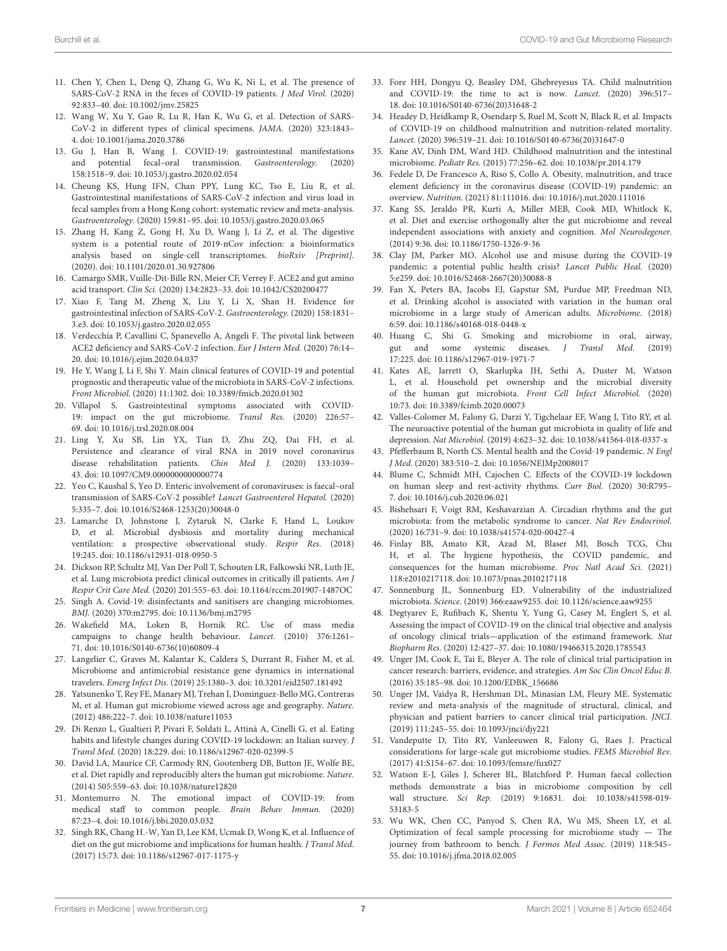- <span id="page-6-0"></span>11. Chen Y, Chen L, Deng Q, Zhang G, Wu K, Ni L, et al. The presence of SARS-CoV-2 RNA in the feces of COVID-19 patients. J Med Virol. (2020) 92:833–40. doi: [10.1002/jmv.25825](https://doi.org/10.1002/jmv.25825)
- <span id="page-6-1"></span>12. Wang W, Xu Y, Gao R, Lu R, Han K, Wu G, et al. Detection of SARS-CoV-2 in different types of clinical specimens. JAMA. (2020) 323:1843– 4. doi: [10.1001/jama.2020.3786](https://doi.org/10.1001/jama.2020.3786)
- <span id="page-6-2"></span>13. Gu J, Han B, Wang J. COVID-19: gastrointestinal manifestations and potential fecal–oral transmission. Gastroenterology. (2020) 158:1518–9. doi: [10.1053/j.gastro.2020.02.054](https://doi.org/10.1053/j.gastro.2020.02.054)
- <span id="page-6-3"></span>14. Cheung KS, Hung IFN, Chan PPY, Lung KC, Tso E, Liu R, et al. Gastrointestinal manifestations of SARS-CoV-2 infection and virus load in fecal samples from a Hong Kong cohort: systematic review and meta-analysis. Gastroenterology. (2020) 159:81–95. doi: [10.1053/j.gastro.2020.03.065](https://doi.org/10.1053/j.gastro.2020.03.065)
- <span id="page-6-4"></span>15. Zhang H, Kang Z, Gong H, Xu D, Wang J, Li Z, et al. The digestive system is a potential route of 2019-nCov infection: a bioinformatics analysis based on single-cell transcriptomes. bioRxiv [Preprint]. (2020). doi: [10.1101/2020.01.30.927806](https://doi.org/10.1101/2020.01.30.927806)
- <span id="page-6-5"></span>16. Camargo SMR, Vuille-Dit-Bille RN, Meier CF, Verrey F. ACE2 and gut amino acid transport. Clin Sci. (2020) 134:2823–33. doi: [10.1042/CS20200477](https://doi.org/10.1042/CS20200477)
- <span id="page-6-6"></span>17. Xiao F, Tang M, Zheng X, Liu Y, Li X, Shan H. Evidence for gastrointestinal infection of SARS-CoV-2. Gastroenterology. (2020) 158:1831– 3.e3. doi: [10.1053/j.gastro.2020.02.055](https://doi.org/10.1053/j.gastro.2020.02.055)
- <span id="page-6-7"></span>18. Verdecchia P, Cavallini C, Spanevello A, Angeli F. The pivotal link between ACE2 deficiency and SARS-CoV-2 infection. Eur J Intern Med. (2020) 76:14– 20. doi: [10.1016/j.ejim.2020.04.037](https://doi.org/10.1016/j.ejim.2020.04.037)
- <span id="page-6-8"></span>19. He Y, Wang J, Li F, Shi Y. Main clinical features of COVID-19 and potential prognostic and therapeutic value of the microbiota in SARS-CoV-2 infections. Front Microbiol. (2020) 11:1302. doi: [10.3389/fmicb.2020.01302](https://doi.org/10.3389/fmicb.2020.01302)
- <span id="page-6-9"></span>20. Villapol S. Gastrointestinal symptoms associated with COVID-19: impact on the gut microbiome. Transl Res. (2020) 226:57– 69. doi: [10.1016/j.trsl.2020.08.004](https://doi.org/10.1016/j.trsl.2020.08.004)
- <span id="page-6-10"></span>21. Ling Y, Xu SB, Lin YX, Tian D, Zhu ZQ, Dai FH, et al. Persistence and clearance of viral RNA in 2019 novel coronavirus disease rehabilitation patients. Chin Med J. (2020) 133:1039– 43. doi: [10.1097/CM9.0000000000000774](https://doi.org/10.1097/CM9.0000000000000774)
- <span id="page-6-11"></span>22. Yeo C, Kaushal S, Yeo D. Enteric involvement of coronaviruses: is faecal–oral transmission of SARS-CoV-2 possible? Lancet Gastroenterol Hepatol. (2020) 5:335–7. doi: [10.1016/S2468-1253\(20\)30048-0](https://doi.org/10.1016/S2468-1253(20)30048-0)
- <span id="page-6-12"></span>23. Lamarche D, Johnstone J, Zytaruk N, Clarke F, Hand L, Loukov D, et al. Microbial dysbiosis and mortality during mechanical ventilation: a prospective observational study. Respir Res. (2018) 19:245. doi: [10.1186/s12931-018-0950-5](https://doi.org/10.1186/s12931-018-0950-5)
- <span id="page-6-13"></span>24. Dickson RP, Schultz MJ, Van Der Poll T, Schouten LR, Falkowski NR, Luth JE, et al. Lung microbiota predict clinical outcomes in critically ill patients. Am J Respir Crit Care Med. (2020) 201:555–63. doi: [10.1164/rccm.201907-1487OC](https://doi.org/10.1164/rccm.201907-1487OC)
- <span id="page-6-14"></span>25. Singh A. Covid-19: disinfectants and sanitisers are changing microbiomes. BMJ. (2020) 370:m2795. doi: [10.1136/bmj.m2795](https://doi.org/10.1136/bmj.m2795)
- <span id="page-6-15"></span>26. Wakefield MA, Loken B, Hornik RC. Use of mass media campaigns to change health behaviour. Lancet. (2010) 376:1261– 71. doi: [10.1016/S0140-6736\(10\)60809-4](https://doi.org/10.1016/S0140-6736(10)60809-4)
- <span id="page-6-16"></span>27. Langelier C, Graves M, Kalantar K, Caldera S, Durrant R, Fisher M, et al. Microbiome and antimicrobial resistance gene dynamics in international travelers. Emerg Infect Dis. (2019) 25:1380–3. doi: [10.3201/eid2507.181492](https://doi.org/10.3201/eid2507.181492)
- <span id="page-6-17"></span>28. Yatsunenko T, Rey FE, Manary MJ, Trehan I, Dominguez-Bello MG, Contreras M, et al. Human gut microbiome viewed across age and geography. Nature. (2012) 486:222–7. doi: [10.1038/nature11053](https://doi.org/10.1038/nature11053)
- <span id="page-6-18"></span>29. Di Renzo L, Gualtieri P, Pivari F, Soldati L, Attinà A, Cinelli G, et al. Eating habits and lifestyle changes during COVID-19 lockdown: an Italian survey. J Transl Med. (2020) 18:229. doi: [10.1186/s12967-020-02399-5](https://doi.org/10.1186/s12967-020-02399-5)
- <span id="page-6-19"></span>30. David LA, Maurice CF, Carmody RN, Gootenberg DB, Button JE, Wolfe BE, et al. Diet rapidly and reproducibly alters the human gut microbiome. Nature. (2014) 505:559–63. doi: [10.1038/nature12820](https://doi.org/10.1038/nature12820)
- <span id="page-6-20"></span>31. Montemurro N. The emotional impact of COVID-19: from medical staff to common people. Brain Behav Immun. (2020) 87:23–4. doi: [10.1016/j.bbi.2020.03.032](https://doi.org/10.1016/j.bbi.2020.03.032)
- <span id="page-6-21"></span>32. Singh RK, Chang H.-W, Yan D, Lee KM, Ucmak D, Wong K, et al. Influence of diet on the gut microbiome and implications for human health. J Transl Med. (2017) 15:73. doi: [10.1186/s12967-017-1175-y](https://doi.org/10.1186/s12967-017-1175-y)
- <span id="page-6-22"></span>33. Fore HH, Dongyu Q, Beasley DM, Ghebreyesus TA. Child malnutrition and COVID-19: the time to act is now. Lancet. (2020) 396:517– 18. doi: [10.1016/S0140-6736\(20\)31648-2](https://doi.org/10.1016/S0140-6736(20)31648-2)
- <span id="page-6-23"></span>34. Headey D, Heidkamp R, Osendarp S, Ruel M, Scott N, Black R, et al. Impacts of COVID-19 on childhood malnutrition and nutrition-related mortality. Lancet. (2020) 396:519–21. doi: [10.1016/S0140-6736\(20\)31647-0](https://doi.org/10.1016/S0140-6736(20)31647-0)
- <span id="page-6-24"></span>35. Kane AV, Dinh DM, Ward HD. Childhood malnutrition and the intestinal microbiome. Pediatr Res. (2015) 77:256–62. doi: [10.1038/pr.2014.179](https://doi.org/10.1038/pr.2014.179)
- <span id="page-6-25"></span>36. Fedele D, De Francesco A, Riso S, Collo A. Obesity, malnutrition, and trace element deficiency in the coronavirus disease (COVID-19) pandemic: an overview. Nutrition. (2021) 81:111016. doi: [10.1016/j.nut.2020.111016](https://doi.org/10.1016/j.nut.2020.111016)
- <span id="page-6-26"></span>37. Kang SS, Jeraldo PR, Kurti A, Miller MEB, Cook MD, Whitlock K, et al. Diet and exercise orthogonally alter the gut microbiome and reveal independent associations with anxiety and cognition. Mol Neurodegener. (2014) 9:36. doi: [10.1186/1750-1326-9-36](https://doi.org/10.1186/1750-1326-9-36)
- <span id="page-6-27"></span>38. Clay JM, Parker MO. Alcohol use and misuse during the COVID-19 pandemic: a potential public health crisis? Lancet Public Heal. (2020) 5:e259. doi: [10.1016/S2468-2667\(20\)30088-8](https://doi.org/10.1016/S2468-2667(20)30088-8)
- <span id="page-6-28"></span>39. Fan X, Peters BA, Jacobs EJ, Gapstur SM, Purdue MP, Freedman ND, et al. Drinking alcohol is associated with variation in the human oral microbiome in a large study of American adults. Microbiome. (2018) 6:59. doi: [10.1186/s40168-018-0448-x](https://doi.org/10.1186/s40168-018-0448-x)
- <span id="page-6-29"></span>40. Huang C, Shi G. Smoking and microbiome in oral, airway, gut and some systemic diseases. J Transl Med. (2019) 17:225. doi: [10.1186/s12967-019-1971-7](https://doi.org/10.1186/s12967-019-1971-7)
- <span id="page-6-30"></span>41. Kates AE, Jarrett O, Skarlupka JH, Sethi A, Duster M, Watson L, et al. Household pet ownership and the microbial diversity of the human gut microbiota. Front Cell Infect Microbiol. (2020) 10:73. doi: [10.3389/fcimb.2020.00073](https://doi.org/10.3389/fcimb.2020.00073)
- <span id="page-6-31"></span>42. Valles-Colomer M, Falony G, Darzi Y, Tigchelaar EF, Wang J, Tito RY, et al. The neuroactive potential of the human gut microbiota in quality of life and depression. Nat Microbiol. (2019) 4:623–32. doi: [10.1038/s41564-018-0337-x](https://doi.org/10.1038/s41564-018-0337-x)
- <span id="page-6-32"></span>43. Pfefferbaum B, North CS. Mental health and the Covid-19 pandemic. N Engl J Med. (2020) 383:510–2. doi: [10.1056/NEJMp2008017](https://doi.org/10.1056/NEJMp2008017)
- <span id="page-6-33"></span>44. Blume C, Schmidt MH, Cajochen C. Effects of the COVID-19 lockdown on human sleep and rest-activity rhythms. Curr Biol. (2020) 30:R795– 7. doi: [10.1016/j.cub.2020.06.021](https://doi.org/10.1016/j.cub.2020.06.021)
- <span id="page-6-34"></span>45. Bishehsari F, Voigt RM, Keshavarzian A. Circadian rhythms and the gut microbiota: from the metabolic syndrome to cancer. Nat Rev Endocrinol. (2020) 16:731–9. doi: [10.1038/s41574-020-00427-4](https://doi.org/10.1038/s41574-020-00427-4)
- <span id="page-6-35"></span>46. Finlay BB, Amato KR, Azad M, Blaser MJ, Bosch TCG, Chu H, et al. The hygiene hypothesis, the COVID pandemic, and consequences for the human microbiome. Proc Natl Acad Sci. (2021) 118:e2010217118. doi: [10.1073/pnas.2010217118](https://doi.org/10.1073/pnas.2010217118)
- <span id="page-6-36"></span>47. Sonnenburg JL, Sonnenburg ED. Vulnerability of the industrialized microbiota. Science. (2019) 366:eaaw9255. doi: [10.1126/science.aaw9255](https://doi.org/10.1126/science.aaw9255)
- <span id="page-6-37"></span>48. Degtyarev E, Rufibach K, Shentu Y, Yung G, Casey M, Englert S, et al. Assessing the impact of COVID-19 on the clinical trial objective and analysis of oncology clinical trials—application of the estimand framework. Stat Biopharm Res. (2020) 12:427–37. doi: [10.1080/19466315.2020.1785543](https://doi.org/10.1080/19466315.2020.1785543)
- <span id="page-6-38"></span>49. Unger JM, Cook E, Tai E, Bleyer A. The role of clinical trial participation in cancer research: barriers, evidence, and strategies. Am Soc Clin Oncol Educ B. (2016) 35:185–98. doi: [10.1200/EDBK\\_156686](https://doi.org/10.1200/EDBK_156686)
- <span id="page-6-39"></span>50. Unger JM, Vaidya R, Hershman DL, Minasian LM, Fleury ME. Systematic review and meta-analysis of the magnitude of structural, clinical, and physician and patient barriers to cancer clinical trial participation. JNCI. (2019) 111:245–55. doi: [10.1093/jnci/djy221](https://doi.org/10.1093/jnci/djy221)
- <span id="page-6-40"></span>51. Vandeputte D, Tito RY, Vanleeuwen R, Falony G, Raes J. Practical considerations for large-scale gut microbiome studies. FEMS Microbiol Rev. (2017) 41:S154–67. doi: [10.1093/femsre/fux027](https://doi.org/10.1093/femsre/fux027)
- <span id="page-6-41"></span>52. Watson E-J, Giles J, Scherer BL, Blatchford P. Human faecal collection methods demonstrate a bias in microbiome composition by cell wall structure. Sci Rep. [\(2019\) 9:16831. doi: 10.1038/s41598-019-](https://doi.org/10.1038/s41598-019-53183-5) 53183-5
- <span id="page-6-42"></span>53. Wu WK, Chen CC, Panyod S, Chen RA, Wu MS, Sheen LY, et al. Optimization of fecal sample processing for microbiome study — The journey from bathroom to bench. J Formos Med Assoc. (2019) 118:545– 55. doi: [10.1016/j.jfma.2018.02.005](https://doi.org/10.1016/j.jfma.2018.02.005)